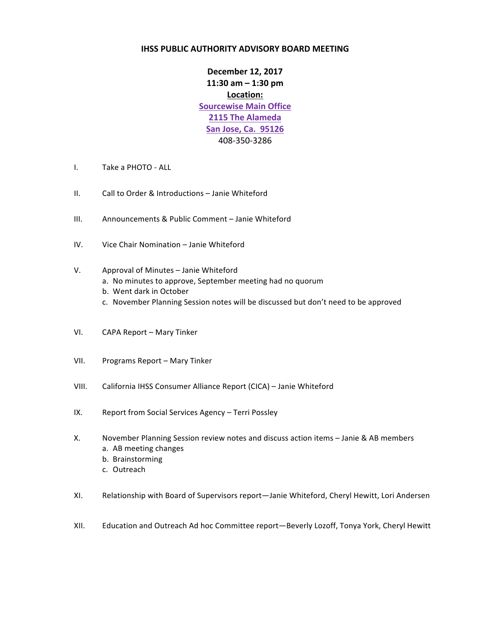## **IHSS PUBLIC AUTHORITY ADVISORY BOARD MEETING**

**December 12, 2017 11:30 am – 1:30 pm Location: Sourcewise Main Office 2115 The Alameda San Jose, Ca. 95126** 408-350-3286

- I. Take a PHOTO ALL
- II. Call to Order & Introductions Janie Whiteford
- III. Announcements & Public Comment Janie Whiteford
- IV. Vice Chair Nomination Janie Whiteford

## V. Approval of Minutes – Janie Whiteford

- a. No minutes to approve, September meeting had no quorum
- b. Went dark in October
- c. November Planning Session notes will be discussed but don't need to be approved
- VI. CAPA Report Mary Tinker
- VII. Programs Report Mary Tinker
- VIII. California IHSS Consumer Alliance Report (CICA) Janie Whiteford
- IX. Report from Social Services Agency Terri Possley
- X. November Planning Session review notes and discuss action items Janie & AB members a. AB meeting changes
	- b. Brainstorming
	- c. Outreach
- XI. Relationship with Board of Supervisors report—Janie Whiteford, Cheryl Hewitt, Lori Andersen
- XII. Education and Outreach Ad hoc Committee report-Beverly Lozoff, Tonya York, Cheryl Hewitt